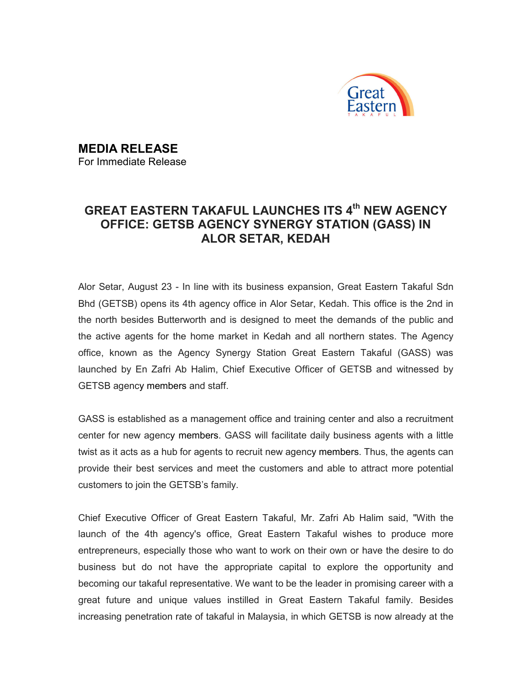

## MEDIA RELEASE

For Immediate Release

## GREAT EASTERN TAKAFUL LAUNCHES ITS 4<sup>th</sup> NEW AGENCY OFFICE: GETSB AGENCY SYNERGY STATION (GASS) IN ALOR SETAR, KEDAH

Alor Setar, August 23 - In line with its business expansion, Great Eastern Takaful Sdn Bhd (GETSB) opens its 4th agency office in Alor Setar, Kedah. This office is the 2nd in the north besides Butterworth and is designed to meet the demands of the public and the active agents for the home market in Kedah and all northern states. The Agency office, known as the Agency Synergy Station Great Eastern Takaful (GASS) was launched by En Zafri Ab Halim, Chief Executive Officer of GETSB and witnessed by GETSB agency members and staff.

GASS is established as a management office and training center and also a recruitment center for new agency members. GASS will facilitate daily business agents with a little twist as it acts as a hub for agents to recruit new agency members. Thus, the agents can provide their best services and meet the customers and able to attract more potential customers to join the GETSB's family.

Chief Executive Officer of Great Eastern Takaful, Mr. Zafri Ab Halim said, "With the launch of the 4th agency's office, Great Eastern Takaful wishes to produce more entrepreneurs, especially those who want to work on their own or have the desire to do business but do not have the appropriate capital to explore the opportunity and becoming our takaful representative. We want to be the leader in promising career with a great future and unique values instilled in Great Eastern Takaful family. Besides increasing penetration rate of takaful in Malaysia, in which GETSB is now already at the